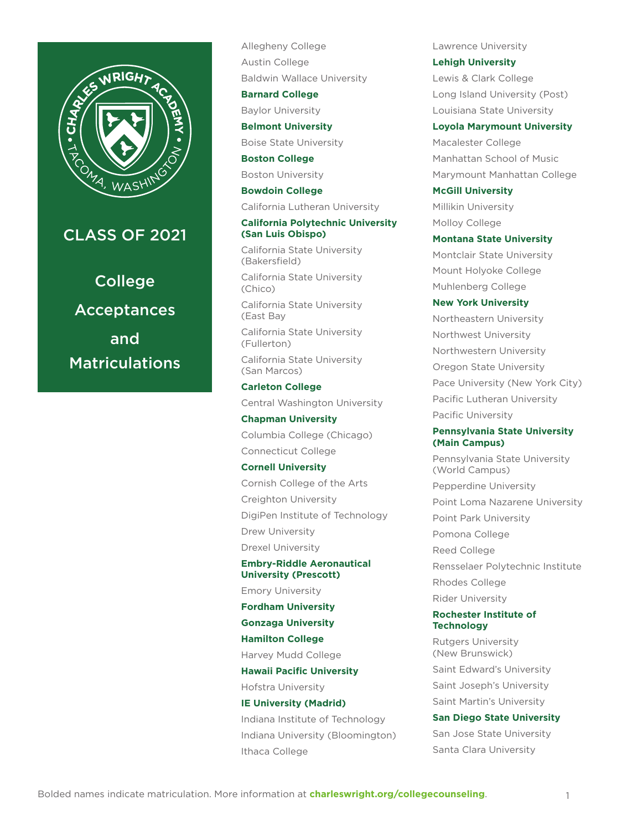

## CLASS OF 2021

College Acceptances and Matriculations Allegheny College Austin College Baldwin Wallace University

**Barnard College**

Baylor University

#### **Belmont University**

Boise State University

#### **Boston College**

Boston University

## **Bowdoin College**

California Lutheran University

#### **California Polytechnic University (San Luis Obispo)**

California State University (Bakersfield)

California State University (Chico)

California State University (East Bay

California State University (Fullerton)

California State University (San Marcos)

## **Carleton College**

Central Washington University

## **Chapman University**

Columbia College (Chicago) Connecticut College

#### **Cornell University**

Cornish College of the Arts Creighton University DigiPen Institute of Technology Drew University Drexel University

## **Embry-Riddle Aeronautical University (Prescott)**

Emory University

**Fordham University**

**Gonzaga University**

**Hamilton College**

Harvey Mudd College

## **Hawaii Pacific University**

Hofstra University

# **IE University (Madrid)**

Indiana Institute of Technology Indiana University (Bloomington) Ithaca College

Lawrence University

**Lehigh University** Lewis & Clark College Long Island University (Post) Louisiana State University

#### **Loyola Marymount University**

Macalester College Manhattan School of Music Marymount Manhattan College

**McGill University** Millikin University Molloy College

#### **Montana State University**

Montclair State University Mount Holyoke College Muhlenberg College

### **New York University**

Northeastern University Northwest University Northwestern University Oregon State University Pace University (New York City) Pacific Lutheran University Pacific University

### **Pennsylvania State University (Main Campus)**

Pennsylvania State University (World Campus) Pepperdine University Point Loma Nazarene University Point Park University Pomona College Reed College Rensselaer Polytechnic Institute Rhodes College Rider University

#### **Rochester Institute of Technology**

Rutgers University (New Brunswick) Saint Edward's University Saint Joseph's University Saint Martin's University

## **San Diego State University**

San Jose State University Santa Clara University